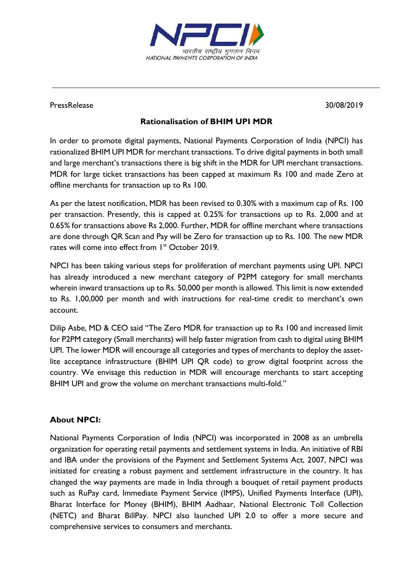

## PressRelease 30/08/2019

## **Rationalisation of BHIM UPI MDR**

In order to promote digital payments, National Payments Corporation of India (NPCI) has rationalized BHIM UPI MDR for merchant transactions. To drive digital payments in both small and large merchant's transactions there is big shift in the MDR for UPI merchant transactions. MDR for large ticket transactions has been capped at maximum Rs 100 and made Zero at offline merchants for transaction up to Rs 100.

As per the latest notification, MDR has been revised to 0.30% with a maximum cap of Rs. 100 per transaction. Presently, this is capped at 0.25% for transactions up to Rs. 2,000 and at 0.65% for transactions above Rs 2,000. Further, MDR for offline merchant where transactions are done through QR Scan and Pay will be Zero for transaction up to Rs. 100. The new MDR rates will come into effect from 1<sup>st</sup> October 2019.

NPCI has been taking various steps for proliferation of merchant payments using UPI. NPCI has already introduced a new merchant category of P2PM category for small merchants wherein inward transactions up to Rs. 50,000 per month is allowed. This limit is now extended to Rs. 1,00,000 per month and with instructions for real-time credit to merchant's own account.

Dilip Asbe, MD & CEO said "The Zero MDR for transaction up to Rs 100 and increased limit for P2PM category (Small merchants) will help faster migration from cash to digital using BHIM UPI. The lower MDR will encourage all categories and types of merchants to deploy the assetlite acceptance infrastructure (BHIM UPI QR code) to grow digital footprint across the country. We envisage this reduction in MDR will encourage merchants to start accepting BHIM UPI and grow the volume on merchant transactions multi-fold."

## **About NPCI:**

National Payments Corporation of India (NPCI) was incorporated in 2008 as an umbrella organization for operating retail payments and settlement systems in India. An initiative of RBI and IBA under the provisions of the Payment and Settlement Systems Act, 2007, NPCI was initiated for creating a robust payment and settlement infrastructure in the country. It has changed the way payments are made in India through a bouquet of retail payment products such as [RuPay card,](https://www.npci.org.in/product-overview/rupay-product-overview) [Immediate Payment Service \(IMPS\),](https://www.npci.org.in/product-overview/imps-product-overview) [Unified Payments Interface](https://www.npci.org.in/product-overview/upi-product-overview) (UPI), [Bharat Interface for Money \(BHIM\),](https://www.npci.org.in/product-overview/bhim-product-overview) [BHIM Aadhaar,](https://www.npci.org.in/product-overview/bhim-aadhaar) [National Electronic Toll Collection](https://www.npci.org.in/netc)  [\(NETC\)](https://www.npci.org.in/netc) and [Bharat BillPay.](https://www.npci.org.in/product-overview/bharat-billpay-product-overview) NPCI also launched UPI 2.0 to offer a more secure and comprehensive services to consumers and merchants.